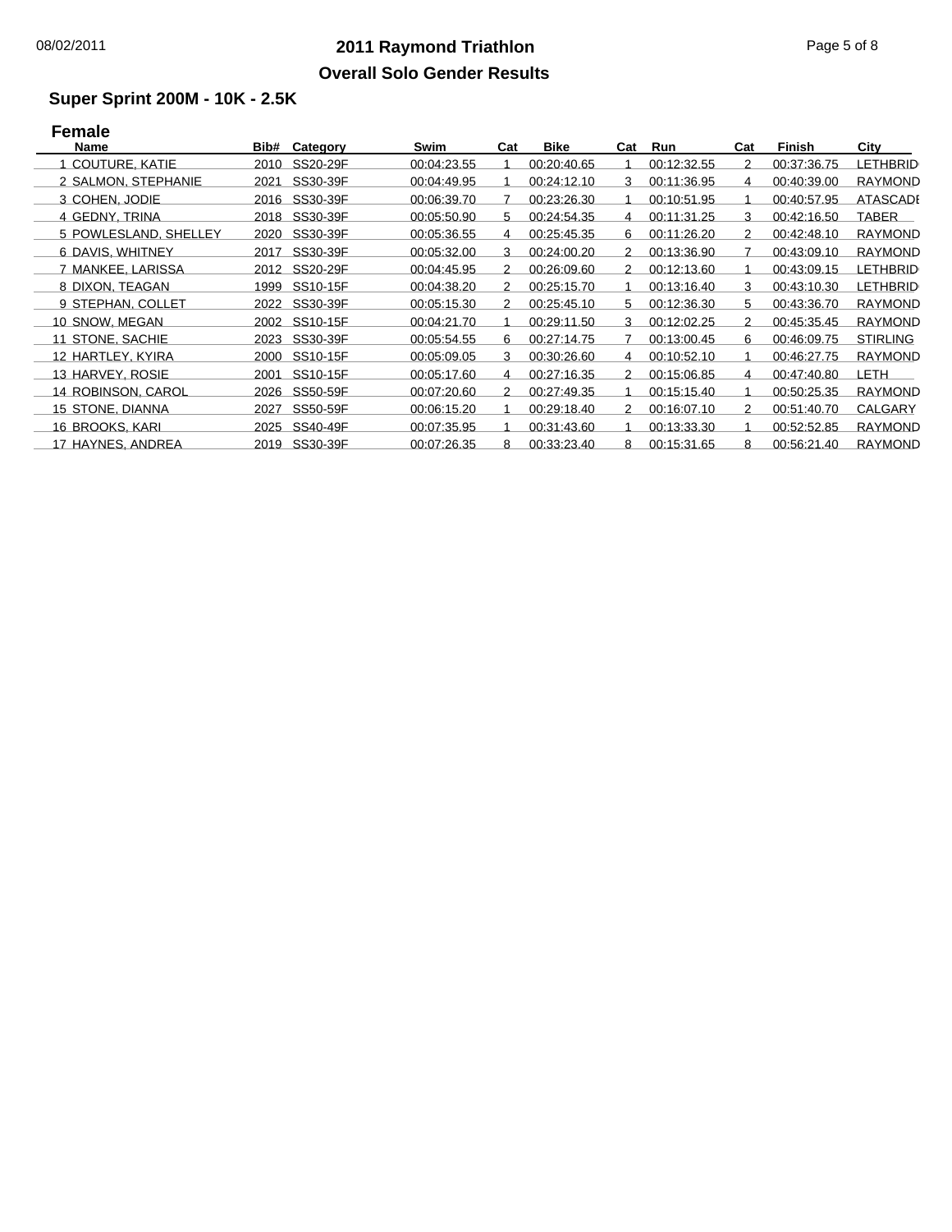## **2011 Raymond Triathlon** 08/02/2011 Page 5 of 8 **Overall Solo Gender Results**

#### **Super Sprint 200M - 10K - 2.5K**

# **Female**

| <b>Name</b>           | Bib# | Category      | Swim        | Cat | <b>Bike</b> | Cat           | Run         | Cat | Finish      | City            |
|-----------------------|------|---------------|-------------|-----|-------------|---------------|-------------|-----|-------------|-----------------|
| 1 COUTURE, KATIE      | 2010 | SS20-29F      | 00:04:23.55 |     | 00:20:40.65 |               | 00:12:32.55 | 2   | 00:37:36.75 | LETHBRID        |
| 2 SALMON, STEPHANIE   | 2021 | SS30-39F      | 00:04:49.95 |     | 00:24:12.10 | 3             | 00:11:36.95 | 4   | 00:40:39.00 | <b>RAYMOND</b>  |
| 3 COHEN, JODIE        |      | 2016 SS30-39F | 00:06:39.70 |     | 00:23:26.30 |               | 00:10:51.95 |     | 00:40:57.95 | ATASCADI        |
| 4 GEDNY, TRINA        | 2018 | SS30-39F      | 00:05:50.90 | 5.  | 00:24:54.35 | 4             | 00:11:31.25 | 3   | 00:42:16.50 | TABER           |
| 5 POWLESLAND, SHELLEY | 2020 | SS30-39F      | 00:05:36.55 | 4   | 00:25:45.35 | 6.            | 00:11:26.20 | 2   | 00:42:48.10 | <b>RAYMOND</b>  |
| 6 DAVIS, WHITNEY      | 2017 | SS30-39F      | 00:05:32.00 | 3   | 00:24:00.20 | 2             | 00:13:36.90 |     | 00:43:09.10 | <b>RAYMOND</b>  |
| 7 MANKEE, LARISSA     |      | 2012 SS20-29F | 00:04:45.95 | 2   | 00:26:09.60 | 2             | 00:12:13.60 |     | 00:43:09.15 | LETHBRID        |
| 8 DIXON, TEAGAN       | 1999 | SS10-15F      | 00:04:38.20 | 2   | 00:25:15.70 |               | 00:13:16.40 | 3   | 00:43:10.30 | LETHBRID        |
| 9 STEPHAN, COLLET     |      | 2022 SS30-39F | 00:05:15.30 | 2   | 00:25:45.10 | 5.            | 00:12:36.30 | 5.  | 00:43:36.70 | <b>RAYMOND</b>  |
| 10 SNOW, MEGAN        |      | 2002 SS10-15F | 00:04:21.70 |     | 00:29:11.50 | 3             | 00:12:02.25 | 2   | 00:45:35.45 | <b>RAYMOND</b>  |
| 11 STONE, SACHIE      | 2023 | SS30-39F      | 00:05:54.55 | 6   | 00:27:14.75 |               | 00:13:00.45 | 6   | 00:46:09.75 | <b>STIRLING</b> |
| 12 HARTLEY, KYIRA     | 2000 | SS10-15F      | 00:05:09.05 | 3   | 00:30:26.60 | 4             | 00:10:52.10 |     | 00:46:27.75 | <b>RAYMOND</b>  |
| 13 HARVEY, ROSIE      | 2001 | SS10-15F      | 00:05:17.60 | 4   | 00:27:16.35 | $\mathcal{P}$ | 00:15:06.85 | 4   | 00:47:40.80 | LETH            |
| 14 ROBINSON, CAROL    | 2026 | SS50-59F      | 00:07:20.60 | 2   | 00:27:49.35 |               | 00:15:15.40 |     | 00:50:25.35 | <b>RAYMOND</b>  |
| 15 STONE, DIANNA      | 2027 | SS50-59F      | 00:06:15.20 |     | 00:29:18.40 | $\mathcal{P}$ | 00:16:07.10 | 2   | 00:51:40.70 | CALGARY         |
| 16 BROOKS, KARI       | 2025 | SS40-49F      | 00:07:35.95 |     | 00:31:43.60 |               | 00:13:33.30 |     | 00:52:52.85 | <b>RAYMOND</b>  |
| 17 HAYNES, ANDREA     |      | 2019 SS30-39F | 00:07:26.35 | 8   | 00:33:23.40 | 8             | 00:15:31.65 | 8   | 00:56:21.40 | <b>RAYMOND</b>  |